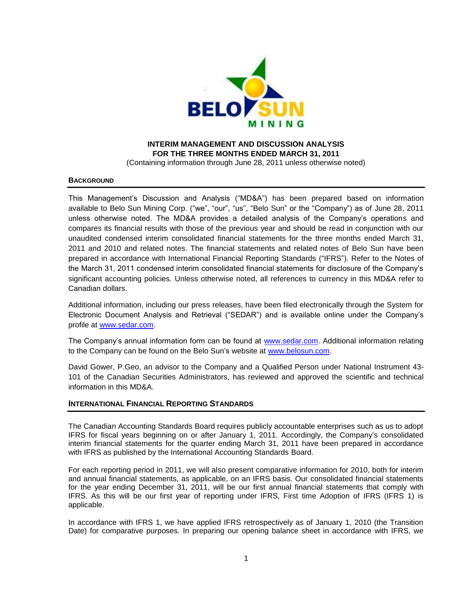

# **INTERIM MANAGEMENT AND DISCUSSION ANALYSIS FOR THE THREE MONTHS ENDED MARCH 31, 2011** (Containing information through June 28, 2011 unless otherwise noted)

### **BACKGROUND**

This Management's Discussion and Analysis ("MD&A") has been prepared based on information available to Belo Sun Mining Corp. ("we", "our", "us", "Belo Sun" or the "Company") as of June 28, 2011 unless otherwise noted. The MD&A provides a detailed analysis of the Company's operations and compares its financial results with those of the previous year and should be read in conjunction with our unaudited condensed interim consolidated financial statements for the three months ended March 31, 2011 and 2010 and related notes. The financial statements and related notes of Belo Sun have been prepared in accordance with International Financial Reporting Standards ("IFRS"). Refer to the Notes of the March 31, 2011 condensed interim consolidated financial statements for disclosure of the Company's significant accounting policies. Unless otherwise noted, all references to currency in this MD&A refer to Canadian dollars.

Additional information, including our press releases, have been filed electronically through the System for Electronic Document Analysis and Retrieval ("SEDAR") and is available online under the Company's profile at [www.sedar.com.](http://www.sedar.com/)

The Company's annual information form can be found at [www.sedar.com.](http://www.sedar.com/) Additional information relating to the Company can be found on the Belo Sun's website at [www.belosun.com.](http://www.belosun.com/)

David Gower, P.Geo, an advisor to the Company and a Qualified Person under National Instrument 43- 101 of the Canadian Securities Administrators, has reviewed and approved the scientific and technical information in this MD&A.

### **INTERNATIONAL FINANCIAL REPORTING STANDARDS**

The Canadian Accounting Standards Board requires publicly accountable enterprises such as us to adopt IFRS for fiscal years beginning on or after January 1, 2011. Accordingly, the Company's consolidated interim financial statements for the quarter ending March 31, 2011 have been prepared in accordance with IFRS as published by the International Accounting Standards Board.

For each reporting period in 2011, we will also present comparative information for 2010, both for interim and annual financial statements, as applicable, on an IFRS basis. Our consolidated financial statements for the year ending December 31, 2011, will be our first annual financial statements that comply with IFRS. As this will be our first year of reporting under IFRS, First time Adoption of IFRS (IFRS 1) is applicable.

In accordance with IFRS 1, we have applied IFRS retrospectively as of January 1, 2010 (the Transition Date) for comparative purposes. In preparing our opening balance sheet in accordance with IFRS, we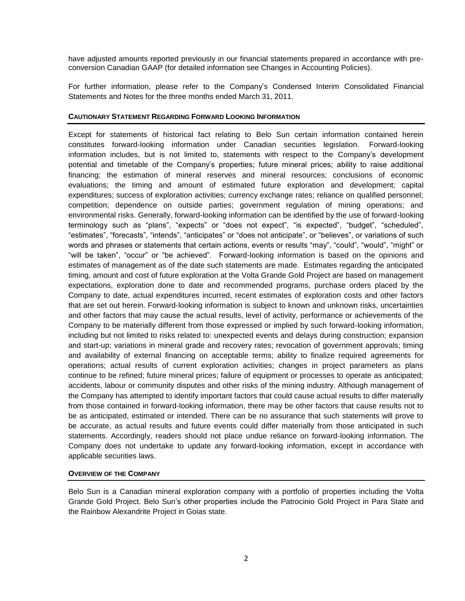have adjusted amounts reported previously in our financial statements prepared in accordance with preconversion Canadian GAAP (for detailed information see Changes in Accounting Policies).

For further information, please refer to the Company's Condensed Interim Consolidated Financial Statements and Notes for the three months ended March 31, 2011.

### **CAUTIONARY STATEMENT REGARDING FORWARD LOOKING INFORMATION**

Except for statements of historical fact relating to Belo Sun certain information contained herein constitutes forward-looking information under Canadian securities legislation. Forward-looking information includes, but is not limited to, statements with respect to the Company's development potential and timetable of the Company's properties; future mineral prices; ability to raise additional financing; the estimation of mineral reserves and mineral resources; conclusions of economic evaluations; the timing and amount of estimated future exploration and development; capital expenditures; success of exploration activities; currency exchange rates; reliance on qualified personnel; competition; dependence on outside parties; government regulation of mining operations; and environmental risks. Generally, forward-looking information can be identified by the use of forward-looking terminology such as "plans", "expects" or "does not expect", "is expected", "budget", "scheduled", "estimates", "forecasts", "intends", "anticipates" or "does not anticipate", or "believes", or variations of such words and phrases or statements that certain actions, events or results "may", "could", "would", "might" or "will be taken", "occur" or "be achieved". Forward-looking information is based on the opinions and estimates of management as of the date such statements are made. Estimates regarding the anticipated timing, amount and cost of future exploration at the Volta Grande Gold Project are based on management expectations, exploration done to date and recommended programs, purchase orders placed by the Company to date, actual expenditures incurred, recent estimates of exploration costs and other factors that are set out herein. Forward-looking information is subject to known and unknown risks, uncertainties and other factors that may cause the actual results, level of activity, performance or achievements of the Company to be materially different from those expressed or implied by such forward-looking information, including but not limited to risks related to: unexpected events and delays during construction; expansion and start-up; variations in mineral grade and recovery rates; revocation of government approvals; timing and availability of external financing on acceptable terms; ability to finalize required agreements for operations; actual results of current exploration activities; changes in project parameters as plans continue to be refined; future mineral prices; failure of equipment or processes to operate as anticipated; accidents, labour or community disputes and other risks of the mining industry. Although management of the Company has attempted to identify important factors that could cause actual results to differ materially from those contained in forward-looking information, there may be other factors that cause results not to be as anticipated, estimated or intended. There can be no assurance that such statements will prove to be accurate, as actual results and future events could differ materially from those anticipated in such statements. Accordingly, readers should not place undue reliance on forward-looking information. The Company does not undertake to update any forward-looking information, except in accordance with applicable securities laws.

### **OVERVIEW OF THE COMPANY**

Belo Sun is a Canadian mineral exploration company with a portfolio of properties including the Volta Grande Gold Project. Belo Sun's other properties include the Patrocinio Gold Project in Para State and the Rainbow Alexandrite Project in Goias state.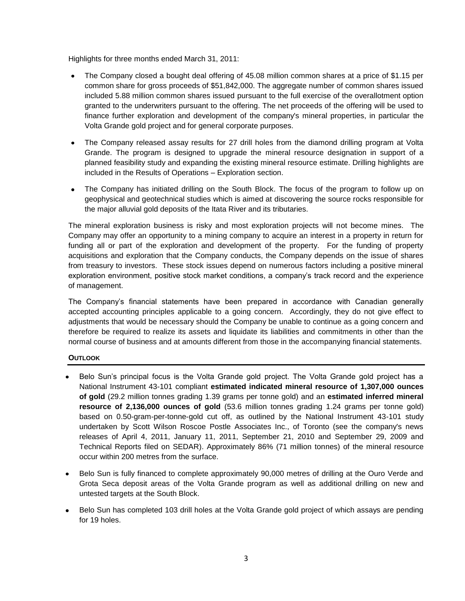Highlights for three months ended March 31, 2011:

- $\bullet$ The Company closed a bought deal offering of 45.08 million common shares at a price of \$1.15 per common share for gross proceeds of \$51,842,000. The aggregate number of common shares issued included 5.88 million common shares issued pursuant to the full exercise of the overallotment option granted to the underwriters pursuant to the offering. The net proceeds of the offering will be used to finance further exploration and development of the company's mineral properties, in particular the Volta Grande gold project and for general corporate purposes.
- The Company released assay results for 27 drill holes from the diamond drilling program at Volta  $\bullet$ Grande. The program is designed to upgrade the mineral resource designation in support of a planned feasibility study and expanding the existing mineral resource estimate. Drilling highlights are included in the Results of Operations – Exploration section.
- The Company has initiated drilling on the South Block. The focus of the program to follow up on  $\bullet$ geophysical and geotechnical studies which is aimed at discovering the source rocks responsible for the major alluvial gold deposits of the Itata River and its tributaries.

The mineral exploration business is risky and most exploration projects will not become mines. The Company may offer an opportunity to a mining company to acquire an interest in a property in return for funding all or part of the exploration and development of the property. For the funding of property acquisitions and exploration that the Company conducts, the Company depends on the issue of shares from treasury to investors. These stock issues depend on numerous factors including a positive mineral exploration environment, positive stock market conditions, a company's track record and the experience of management.

The Company's financial statements have been prepared in accordance with Canadian generally accepted accounting principles applicable to a going concern. Accordingly, they do not give effect to adjustments that would be necessary should the Company be unable to continue as a going concern and therefore be required to realize its assets and liquidate its liabilities and commitments in other than the normal course of business and at amounts different from those in the accompanying financial statements.

# **OUTLOOK**

- Belo Sun's principal focus is the Volta Grande gold project. The Volta Grande gold project has a National Instrument 43-101 compliant **estimated indicated mineral resource of 1,307,000 ounces of gold** (29.2 million tonnes grading 1.39 grams per tonne gold) and an **estimated inferred mineral resource of 2,136,000 ounces of gold** (53.6 million tonnes grading 1.24 grams per tonne gold) based on 0.50-gram-per-tonne-gold cut off, as outlined by the National Instrument 43-101 study undertaken by Scott Wilson Roscoe Postle Associates Inc., of Toronto (see the company's news releases of April 4, 2011, January 11, 2011, September 21, 2010 and September 29, 2009 and Technical Reports filed on SEDAR). Approximately 86% (71 million tonnes) of the mineral resource occur within 200 metres from the surface.
- Belo Sun is fully financed to complete approximately 90,000 metres of drilling at the Ouro Verde and Grota Seca deposit areas of the Volta Grande program as well as additional drilling on new and untested targets at the South Block.
- Belo Sun has completed 103 drill holes at the Volta Grande gold project of which assays are pending  $\bullet$ for 19 holes.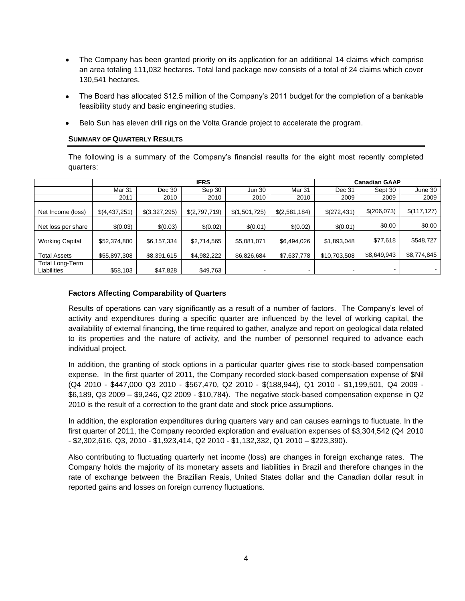- The Company has been granted priority on its application for an additional 14 claims which comprise an area totaling 111,032 hectares. Total land package now consists of a total of 24 claims which cover 130,541 hectares.
- The Board has allocated \$12.5 million of the Company's 2011 budget for the completion of a bankable  $\bullet$ feasibility study and basic engineering studies.
- Belo Sun has eleven drill rigs on the Volta Grande project to accelerate the program.

### **SUMMARY OF QUARTERLY RESULTS**

The following is a summary of the Company's financial results for the eight most recently completed quarters:

|                                | <b>IFRS</b>   |               |               |               | <b>Canadian GAAP</b> |              |                          |              |
|--------------------------------|---------------|---------------|---------------|---------------|----------------------|--------------|--------------------------|--------------|
|                                | Mar 31        | Dec 30        | Sep 30        | <b>Jun 30</b> | <b>Mar 31</b>        | Dec 31       | Sept 30                  | June 30      |
|                                | 2011          | 2010          | 2010          | 2010          | 2010                 | 2009         | 2009                     | 2009         |
| Net Income (loss)              | \$(4,437,251) | \$(3,327,295) | \$(2,797,719) | \$(1,501,725) | \$(2,581,184)        | \$(272,431)  | \$(206,073)              | \$(117, 127) |
| Net loss per share             | \$(0.03)      | \$(0.03)      | \$(0.02)      | \$(0.01)      | \$(0.02)             | \$(0.01)     | \$0.00                   | \$0.00       |
| <b>Working Capital</b>         | \$52,374,800  | \$6,157,334   | \$2,714,565   | \$5,081,071   | \$6,494,026          | \$1,893,048  | \$77,618                 | \$548,727    |
| <b>Total Assets</b>            | \$55,897,308  | \$8,391,615   | \$4,982,222   | \$6,826,684   | \$7,637,778          | \$10,703,508 | \$8,649,943              | \$8,774,845  |
| Total Long-Term<br>Liabilities | \$58,103      | \$47,828      | \$49,763      | ۰             |                      |              | $\overline{\phantom{a}}$ |              |

## **Factors Affecting Comparability of Quarters**

Results of operations can vary significantly as a result of a number of factors. The Company's level of activity and expenditures during a specific quarter are influenced by the level of working capital, the availability of external financing, the time required to gather, analyze and report on geological data related to its properties and the nature of activity, and the number of personnel required to advance each individual project.

In addition, the granting of stock options in a particular quarter gives rise to stock-based compensation expense. In the first quarter of 2011, the Company recorded stock-based compensation expense of \$Nil (Q4 2010 - \$447,000 Q3 2010 - \$567,470, Q2 2010 - \$(188,944), Q1 2010 - \$1,199,501, Q4 2009 - \$6,189, Q3 2009 – \$9,246, Q2 2009 - \$10,784). The negative stock-based compensation expense in Q2 2010 is the result of a correction to the grant date and stock price assumptions.

In addition, the exploration expenditures during quarters vary and can causes earnings to fluctuate. In the first quarter of 2011, the Company recorded exploration and evaluation expenses of \$3,304,542 (Q4 2010 - \$2,302,616, Q3, 2010 - \$1,923,414, Q2 2010 - \$1,132,332, Q1 2010 – \$223,390).

Also contributing to fluctuating quarterly net income (loss) are changes in foreign exchange rates. The Company holds the majority of its monetary assets and liabilities in Brazil and therefore changes in the rate of exchange between the Brazilian Reais, United States dollar and the Canadian dollar result in reported gains and losses on foreign currency fluctuations.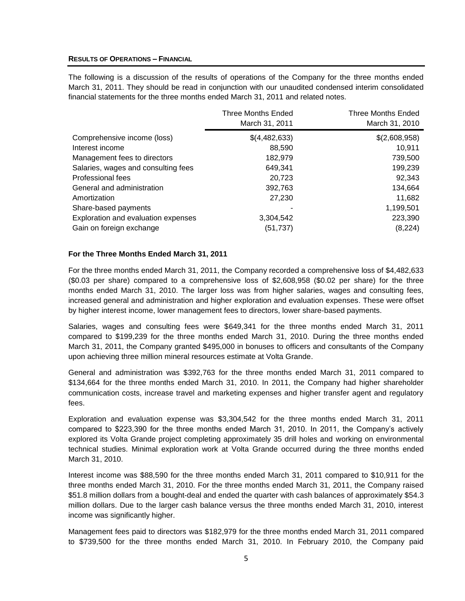### **RESULTS OF OPERATIONS – FINANCIAL**

The following is a discussion of the results of operations of the Company for the three months ended March 31, 2011. They should be read in conjunction with our unaudited condensed interim consolidated financial statements for the three months ended March 31, 2011 and related notes.

|                                     | <b>Three Months Ended</b><br>March 31, 2011 | <b>Three Months Ended</b><br>March 31, 2010 |
|-------------------------------------|---------------------------------------------|---------------------------------------------|
| Comprehensive income (loss)         | \$(4,482,633)                               | \$(2,608,958)                               |
| Interest income                     | 88,590                                      | 10,911                                      |
| Management fees to directors        | 182,979                                     | 739,500                                     |
| Salaries, wages and consulting fees | 649,341                                     | 199,239                                     |
| Professional fees                   | 20,723                                      | 92,343                                      |
| General and administration          | 392,763                                     | 134,664                                     |
| Amortization                        | 27,230                                      | 11,682                                      |
| Share-based payments                |                                             | 1,199,501                                   |
| Exploration and evaluation expenses | 3,304,542                                   | 223,390                                     |
| Gain on foreign exchange            | (51, 737)                                   | (8, 224)                                    |

### **For the Three Months Ended March 31, 2011**

For the three months ended March 31, 2011, the Company recorded a comprehensive loss of \$4,482,633 (\$0.03 per share) compared to a comprehensive loss of \$2,608,958 (\$0.02 per share) for the three months ended March 31, 2010. The larger loss was from higher salaries, wages and consulting fees, increased general and administration and higher exploration and evaluation expenses. These were offset by higher interest income, lower management fees to directors, lower share-based payments.

Salaries, wages and consulting fees were \$649,341 for the three months ended March 31, 2011 compared to \$199,239 for the three months ended March 31, 2010. During the three months ended March 31, 2011, the Company granted \$495,000 in bonuses to officers and consultants of the Company upon achieving three million mineral resources estimate at Volta Grande.

General and administration was \$392,763 for the three months ended March 31, 2011 compared to \$134,664 for the three months ended March 31, 2010. In 2011, the Company had higher shareholder communication costs, increase travel and marketing expenses and higher transfer agent and regulatory fees.

Exploration and evaluation expense was \$3,304,542 for the three months ended March 31, 2011 compared to \$223,390 for the three months ended March 31, 2010. In 2011, the Company's actively explored its Volta Grande project completing approximately 35 drill holes and working on environmental technical studies. Minimal exploration work at Volta Grande occurred during the three months ended March 31, 2010.

Interest income was \$88,590 for the three months ended March 31, 2011 compared to \$10,911 for the three months ended March 31, 2010. For the three months ended March 31, 2011, the Company raised \$51.8 million dollars from a bought-deal and ended the quarter with cash balances of approximately \$54.3 million dollars. Due to the larger cash balance versus the three months ended March 31, 2010, interest income was significantly higher.

Management fees paid to directors was \$182,979 for the three months ended March 31, 2011 compared to \$739,500 for the three months ended March 31, 2010. In February 2010, the Company paid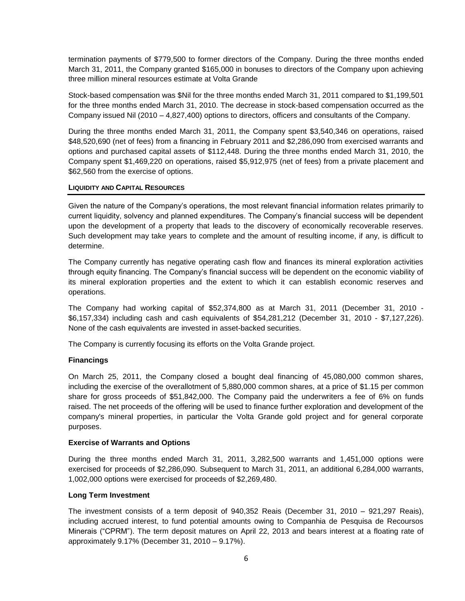termination payments of \$779,500 to former directors of the Company. During the three months ended March 31, 2011, the Company granted \$165,000 in bonuses to directors of the Company upon achieving three million mineral resources estimate at Volta Grande

Stock-based compensation was \$Nil for the three months ended March 31, 2011 compared to \$1,199,501 for the three months ended March 31, 2010. The decrease in stock-based compensation occurred as the Company issued Nil (2010 – 4,827,400) options to directors, officers and consultants of the Company.

During the three months ended March 31, 2011, the Company spent \$3,540,346 on operations, raised \$48,520,690 (net of fees) from a financing in February 2011 and \$2,286,090 from exercised warrants and options and purchased capital assets of \$112,448. During the three months ended March 31, 2010, the Company spent \$1,469,220 on operations, raised \$5,912,975 (net of fees) from a private placement and \$62,560 from the exercise of options.

## **LIQUIDITY AND CAPITAL RESOURCES**

Given the nature of the Company's operations, the most relevant financial information relates primarily to current liquidity, solvency and planned expenditures. The Company's financial success will be dependent upon the development of a property that leads to the discovery of economically recoverable reserves. Such development may take years to complete and the amount of resulting income, if any, is difficult to determine.

The Company currently has negative operating cash flow and finances its mineral exploration activities through equity financing. The Company's financial success will be dependent on the economic viability of its mineral exploration properties and the extent to which it can establish economic reserves and operations.

The Company had working capital of \$52,374,800 as at March 31, 2011 (December 31, 2010 - \$6,157,334) including cash and cash equivalents of \$54,281,212 (December 31, 2010 - \$7,127,226). None of the cash equivalents are invested in asset-backed securities.

The Company is currently focusing its efforts on the Volta Grande project.

### **Financings**

On March 25, 2011, the Company closed a bought deal financing of 45,080,000 common shares, including the exercise of the overallotment of 5,880,000 common shares, at a price of \$1.15 per common share for gross proceeds of \$51,842,000. The Company paid the underwriters a fee of 6% on funds raised. The net proceeds of the offering will be used to finance further exploration and development of the company's mineral properties, in particular the Volta Grande gold project and for general corporate purposes.

### **Exercise of Warrants and Options**

During the three months ended March 31, 2011, 3,282,500 warrants and 1,451,000 options were exercised for proceeds of \$2,286,090. Subsequent to March 31, 2011, an additional 6,284,000 warrants, 1,002,000 options were exercised for proceeds of \$2,269,480.

### **Long Term Investment**

The investment consists of a term deposit of 940,352 Reais (December 31, 2010 – 921,297 Reais), including accrued interest, to fund potential amounts owing to Companhia de Pesquisa de Recoursos Minerais ("CPRM"). The term deposit matures on April 22, 2013 and bears interest at a floating rate of approximately 9.17% (December 31, 2010 – 9.17%).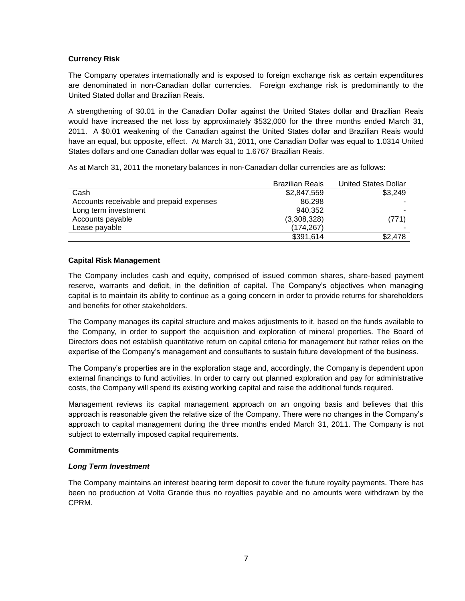# **Currency Risk**

The Company operates internationally and is exposed to foreign exchange risk as certain expenditures are denominated in non-Canadian dollar currencies. Foreign exchange risk is predominantly to the United Stated dollar and Brazilian Reais.

A strengthening of \$0.01 in the Canadian Dollar against the United States dollar and Brazilian Reais would have increased the net loss by approximately \$532,000 for the three months ended March 31, 2011. A \$0.01 weakening of the Canadian against the United States dollar and Brazilian Reais would have an equal, but opposite, effect. At March 31, 2011, one Canadian Dollar was equal to 1.0314 United States dollars and one Canadian dollar was equal to 1.6767 Brazilian Reais.

As at March 31, 2011 the monetary balances in non-Canadian dollar currencies are as follows:

|                                          | <b>Brazilian Reais</b> | <b>United States Dollar</b> |
|------------------------------------------|------------------------|-----------------------------|
| Cash                                     | \$2,847,559            | \$3,249                     |
| Accounts receivable and prepaid expenses | 86.298                 |                             |
| Long term investment                     | 940.352                |                             |
| Accounts payable                         | (3,308,328)            | (771)                       |
| Lease payable                            | (174, 267)             | -                           |
|                                          | \$391,614              | \$2,478                     |

## **Capital Risk Management**

The Company includes cash and equity, comprised of issued common shares, share-based payment reserve, warrants and deficit, in the definition of capital. The Company's objectives when managing capital is to maintain its ability to continue as a going concern in order to provide returns for shareholders and benefits for other stakeholders.

The Company manages its capital structure and makes adjustments to it, based on the funds available to the Company, in order to support the acquisition and exploration of mineral properties. The Board of Directors does not establish quantitative return on capital criteria for management but rather relies on the expertise of the Company's management and consultants to sustain future development of the business.

The Company's properties are in the exploration stage and, accordingly, the Company is dependent upon external financings to fund activities. In order to carry out planned exploration and pay for administrative costs, the Company will spend its existing working capital and raise the additional funds required.

Management reviews its capital management approach on an ongoing basis and believes that this approach is reasonable given the relative size of the Company. There were no changes in the Company's approach to capital management during the three months ended March 31, 2011. The Company is not subject to externally imposed capital requirements.

### **Commitments**

# *Long Term Investment*

The Company maintains an interest bearing term deposit to cover the future royalty payments. There has been no production at Volta Grande thus no royalties payable and no amounts were withdrawn by the CPRM.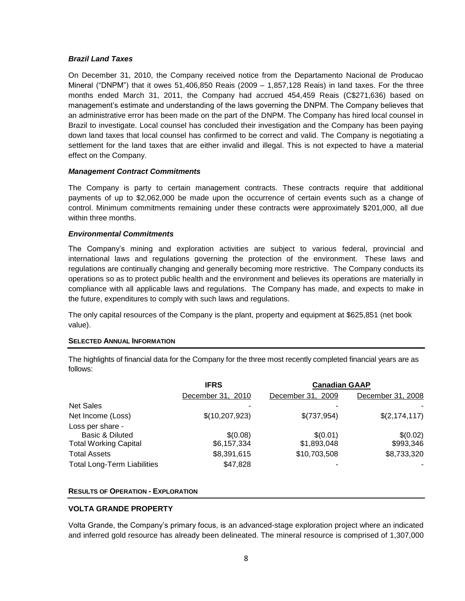## *Brazil Land Taxes*

On December 31, 2010, the Company received notice from the Departamento Nacional de Producao Mineral ("DNPM") that it owes 51,406,850 Reais (2009 – 1,857,128 Reais) in land taxes. For the three months ended March 31, 2011, the Company had accrued 454,459 Reais (C\$271,636) based on management's estimate and understanding of the laws governing the DNPM. The Company believes that an administrative error has been made on the part of the DNPM. The Company has hired local counsel in Brazil to investigate. Local counsel has concluded their investigation and the Company has been paying down land taxes that local counsel has confirmed to be correct and valid. The Company is negotiating a settlement for the land taxes that are either invalid and illegal. This is not expected to have a material effect on the Company.

## *Management Contract Commitments*

The Company is party to certain management contracts. These contracts require that additional payments of up to \$2,062,000 be made upon the occurrence of certain events such as a change of control. Minimum commitments remaining under these contracts were approximately \$201,000, all due within three months.

## *Environmental Commitments*

The Company's mining and exploration activities are subject to various federal, provincial and international laws and regulations governing the protection of the environment. These laws and regulations are continually changing and generally becoming more restrictive. The Company conducts its operations so as to protect public health and the environment and believes its operations are materially in compliance with all applicable laws and regulations. The Company has made, and expects to make in the future, expenditures to comply with such laws and regulations.

The only capital resources of the Company is the plant, property and equipment at \$625,851 (net book value).

### **SELECTED ANNUAL INFORMATION**

The highlights of financial data for the Company for the three most recently completed financial years are as follows:

|                                    | <b>IFRS</b>       | <b>Canadian GAAP</b> |                   |  |
|------------------------------------|-------------------|----------------------|-------------------|--|
|                                    | December 31, 2010 | December 31, 2009    | December 31, 2008 |  |
| <b>Net Sales</b>                   |                   |                      |                   |  |
| Net Income (Loss)                  | \$(10, 207, 923)  | \$(737,954)          | \$(2, 174, 117)   |  |
| Loss per share -                   |                   |                      |                   |  |
| Basic & Diluted                    | \$(0.08)          | \$(0.01)             | \$(0.02)          |  |
| <b>Total Working Capital</b>       | \$6,157,334       | \$1,893,048          | \$993,346         |  |
| <b>Total Assets</b>                | \$8,391,615       | \$10,703,508         | \$8,733,320       |  |
| <b>Total Long-Term Liabilities</b> | \$47,828          |                      |                   |  |

### **RESULTS OF OPERATION - EXPLORATION**

# **VOLTA GRANDE PROPERTY**

Volta Grande, the Company's primary focus, is an advanced-stage exploration project where an indicated and inferred gold resource has already been delineated. The mineral resource is comprised of 1,307,000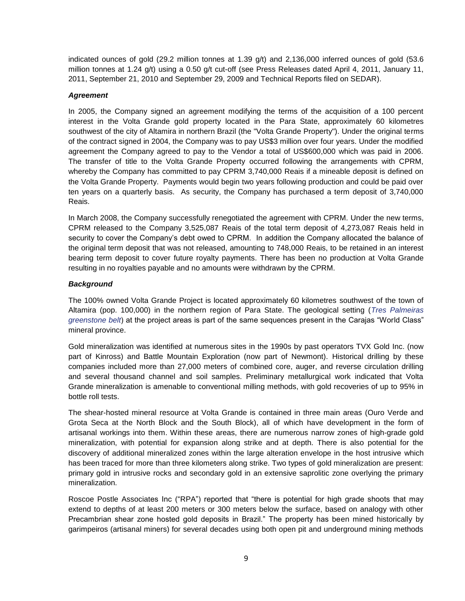indicated ounces of gold (29.2 million tonnes at 1.39 g/t) and 2,136,000 inferred ounces of gold (53.6 million tonnes at 1.24 g/t) using a 0.50 g/t cut-off (see Press Releases dated April 4, 2011, January 11, 2011, September 21, 2010 and September 29, 2009 and Technical Reports filed on SEDAR).

## *Agreement*

In 2005, the Company signed an agreement modifying the terms of the acquisition of a 100 percent interest in the Volta Grande gold property located in the Para State, approximately 60 kilometres southwest of the city of Altamira in northern Brazil (the "Volta Grande Property"). Under the original terms of the contract signed in 2004, the Company was to pay US\$3 million over four years. Under the modified agreement the Company agreed to pay to the Vendor a total of US\$600,000 which was paid in 2006. The transfer of title to the Volta Grande Property occurred following the arrangements with CPRM, whereby the Company has committed to pay CPRM 3,740,000 Reais if a mineable deposit is defined on the Volta Grande Property. Payments would begin two years following production and could be paid over ten years on a quarterly basis. As security, the Company has purchased a term deposit of 3,740,000 Reais.

In March 2008, the Company successfully renegotiated the agreement with CPRM. Under the new terms, CPRM released to the Company 3,525,087 Reais of the total term deposit of 4,273,087 Reais held in security to cover the Company's debt owed to CPRM. In addition the Company allocated the balance of the original term deposit that was not released, amounting to 748,000 Reais, to be retained in an interest bearing term deposit to cover future royalty payments. There has been no production at Volta Grande resulting in no royalties payable and no amounts were withdrawn by the CPRM.

# *Background*

The 100% owned Volta Grande Project is located approximately 60 kilometres southwest of the town of Altamira (pop. 100,000) in the northern region of Para State. The geological setting (*Tres Palmeiras greenstone belt*) at the project areas is part of the same sequences present in the Carajas "World Class" mineral province.

Gold mineralization was identified at numerous sites in the 1990s by past operators TVX Gold Inc. (now part of Kinross) and Battle Mountain Exploration (now part of Newmont). Historical drilling by these companies included more than 27,000 meters of combined core, auger, and reverse circulation drilling and several thousand channel and soil samples. Preliminary metallurgical work indicated that Volta Grande mineralization is amenable to conventional milling methods, with gold recoveries of up to 95% in bottle roll tests.

The shear-hosted mineral resource at Volta Grande is contained in three main areas (Ouro Verde and Grota Seca at the North Block and the South Block), all of which have development in the form of artisanal workings into them. Within these areas, there are numerous narrow zones of high-grade gold mineralization, with potential for expansion along strike and at depth. There is also potential for the discovery of additional mineralized zones within the large alteration envelope in the host intrusive which has been traced for more than three kilometers along strike. Two types of gold mineralization are present: primary gold in intrusive rocks and secondary gold in an extensive saprolitic zone overlying the primary mineralization.

Roscoe Postle Associates Inc ("RPA") reported that "there is potential for high grade shoots that may extend to depths of at least 200 meters or 300 meters below the surface, based on analogy with other Precambrian shear zone hosted gold deposits in Brazil." The property has been mined historically by garimpeiros (artisanal miners) for several decades using both open pit and underground mining methods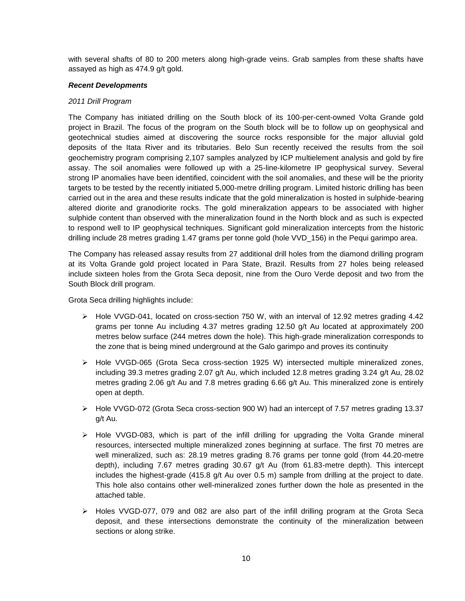with several shafts of 80 to 200 meters along high-grade veins. Grab samples from these shafts have assayed as high as 474.9 g/t gold.

### *Recent Developments*

### *2011 Drill Program*

The Company has initiated drilling on the South block of its 100-per-cent-owned Volta Grande gold project in Brazil. The focus of the program on the South block will be to follow up on geophysical and geotechnical studies aimed at discovering the source rocks responsible for the major alluvial gold deposits of the Itata River and its tributaries. Belo Sun recently received the results from the soil geochemistry program comprising 2,107 samples analyzed by ICP multielement analysis and gold by fire assay. The soil anomalies were followed up with a 25-line-kilometre IP geophysical survey. Several strong IP anomalies have been identified, coincident with the soil anomalies, and these will be the priority targets to be tested by the recently initiated 5,000-metre drilling program. Limited historic drilling has been carried out in the area and these results indicate that the gold mineralization is hosted in sulphide-bearing altered diorite and granodiorite rocks. The gold mineralization appears to be associated with higher sulphide content than observed with the mineralization found in the North block and as such is expected to respond well to IP geophysical techniques. Significant gold mineralization intercepts from the historic drilling include 28 metres grading 1.47 grams per tonne gold (hole VVD\_156) in the Pequi garimpo area.

The Company has released assay results from 27 additional drill holes from the diamond drilling program at its Volta Grande gold project located in Para State, Brazil. Results from 27 holes being released include sixteen holes from the Grota Seca deposit, nine from the Ouro Verde deposit and two from the South Block drill program.

Grota Seca drilling highlights include:

- $\triangleright$  Hole VVGD-041, located on cross-section 750 W, with an interval of 12.92 metres grading 4.42 grams per tonne Au including 4.37 metres grading 12.50 g/t Au located at approximately 200 metres below surface (244 metres down the hole). This high-grade mineralization corresponds to the zone that is being mined underground at the Galo garimpo and proves its continuity
- Hole VVGD-065 (Grota Seca cross-section 1925 W) intersected multiple mineralized zones, including 39.3 metres grading 2.07 g/t Au, which included 12.8 metres grading 3.24 g/t Au, 28.02 metres grading 2.06 g/t Au and 7.8 metres grading 6.66 g/t Au. This mineralized zone is entirely open at depth.
- Hole VVGD-072 (Grota Seca cross-section 900 W) had an intercept of 7.57 metres grading 13.37 g/t Au.
- $\triangleright$  Hole VVGD-083, which is part of the infill drilling for upgrading the Volta Grande mineral resources, intersected multiple mineralized zones beginning at surface. The first 70 metres are well mineralized, such as: 28.19 metres grading 8.76 grams per tonne gold (from 44.20-metre depth), including 7.67 metres grading 30.67 g/t Au (from 61.83-metre depth). This intercept includes the highest-grade (415.8 g/t Au over 0.5 m) sample from drilling at the project to date. This hole also contains other well-mineralized zones further down the hole as presented in the attached table.
- $\triangleright$  Holes VVGD-077, 079 and 082 are also part of the infill drilling program at the Grota Seca deposit, and these intersections demonstrate the continuity of the mineralization between sections or along strike.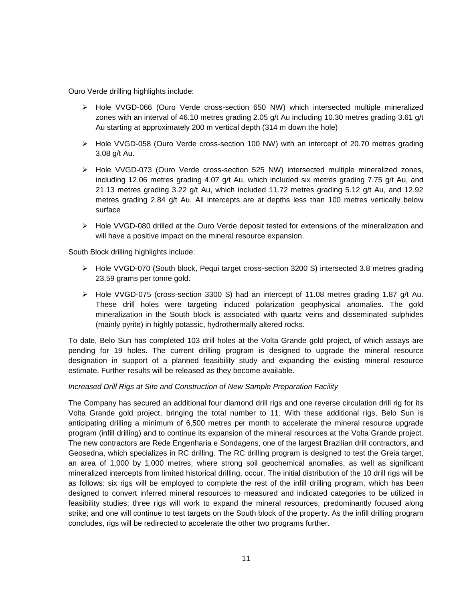Ouro Verde drilling highlights include:

- Hole VVGD-066 (Ouro Verde cross-section 650 NW) which intersected multiple mineralized zones with an interval of 46.10 metres grading 2.05 g/t Au including 10.30 metres grading 3.61 g/t Au starting at approximately 200 m vertical depth (314 m down the hole)
- Hole VVGD-058 (Ouro Verde cross-section 100 NW) with an intercept of 20.70 metres grading 3.08 g/t Au.
- Hole VVGD-073 (Ouro Verde cross-section 525 NW) intersected multiple mineralized zones, including 12.06 metres grading 4.07 g/t Au, which included six metres grading 7.75 g/t Au, and 21.13 metres grading 3.22 g/t Au, which included 11.72 metres grading 5.12 g/t Au, and 12.92 metres grading 2.84 g/t Au. All intercepts are at depths less than 100 metres vertically below surface
- $\triangleright$  Hole VVGD-080 drilled at the Ouro Verde deposit tested for extensions of the mineralization and will have a positive impact on the mineral resource expansion.

South Block drilling highlights include:

- Hole VVGD-070 (South block, Pequi target cross-section 3200 S) intersected 3.8 metres grading 23.59 grams per tonne gold.
- $\triangleright$  Hole VVGD-075 (cross-section 3300 S) had an intercept of 11.08 metres grading 1.87 g/t Au. These drill holes were targeting induced polarization geophysical anomalies. The gold mineralization in the South block is associated with quartz veins and disseminated sulphides (mainly pyrite) in highly potassic, hydrothermally altered rocks.

To date, Belo Sun has completed 103 drill holes at the Volta Grande gold project, of which assays are pending for 19 holes. The current drilling program is designed to upgrade the mineral resource designation in support of a planned feasibility study and expanding the existing mineral resource estimate. Further results will be released as they become available.

### *Increased Drill Rigs at Site and Construction of New Sample Preparation Facility*

The Company has secured an additional four diamond drill rigs and one reverse circulation drill rig for its Volta Grande gold project, bringing the total number to 11. With these additional rigs, Belo Sun is anticipating drilling a minimum of 6,500 metres per month to accelerate the mineral resource upgrade program (infill drilling) and to continue its expansion of the mineral resources at the Volta Grande project. The new contractors are Rede Engenharia e Sondagens, one of the largest Brazilian drill contractors, and Geosedna, which specializes in RC drilling. The RC drilling program is designed to test the Greia target, an area of 1,000 by 1,000 metres, where strong soil geochemical anomalies, as well as significant mineralized intercepts from limited historical drilling, occur. The initial distribution of the 10 drill rigs will be as follows: six rigs will be employed to complete the rest of the infill drilling program, which has been designed to convert inferred mineral resources to measured and indicated categories to be utilized in feasibility studies; three rigs will work to expand the mineral resources, predominantly focused along strike; and one will continue to test targets on the South block of the property. As the infill drilling program concludes, rigs will be redirected to accelerate the other two programs further.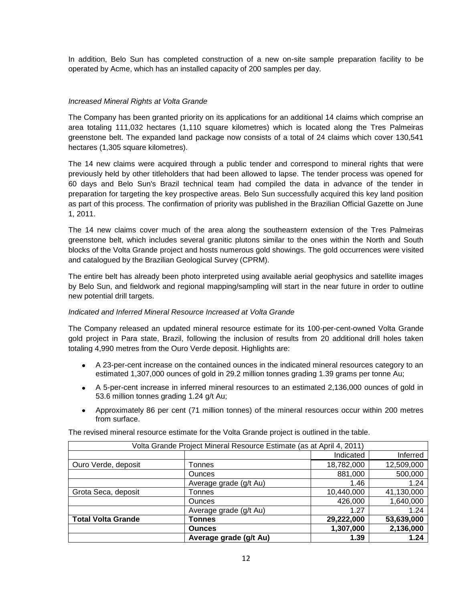In addition, Belo Sun has completed construction of a new on-site sample preparation facility to be operated by Acme, which has an installed capacity of 200 samples per day.

## *Increased Mineral Rights at Volta Grande*

The Company has been granted priority on its applications for an additional 14 claims which comprise an area totaling 111,032 hectares (1,110 square kilometres) which is located along the Tres Palmeiras greenstone belt. The expanded land package now consists of a total of 24 claims which cover 130,541 hectares (1,305 square kilometres).

The 14 new claims were acquired through a public tender and correspond to mineral rights that were previously held by other titleholders that had been allowed to lapse. The tender process was opened for 60 days and Belo Sun's Brazil technical team had compiled the data in advance of the tender in preparation for targeting the key prospective areas. Belo Sun successfully acquired this key land position as part of this process. The confirmation of priority was published in the Brazilian Official Gazette on June 1, 2011.

The 14 new claims cover much of the area along the southeastern extension of the Tres Palmeiras greenstone belt, which includes several granitic plutons similar to the ones within the North and South blocks of the Volta Grande project and hosts numerous gold showings. The gold occurrences were visited and catalogued by the Brazilian Geological Survey (CPRM).

The entire belt has already been photo interpreted using available aerial geophysics and satellite images by Belo Sun, and fieldwork and regional mapping/sampling will start in the near future in order to outline new potential drill targets.

### *Indicated and Inferred Mineral Resource Increased at Volta Grande*

The Company released an updated mineral resource estimate for its 100-per-cent-owned Volta Grande gold project in Para state, Brazil, following the inclusion of results from 20 additional drill holes taken totaling 4,990 metres from the Ouro Verde deposit. Highlights are:

- A 23-per-cent increase on the contained ounces in the indicated mineral resources category to an estimated 1,307,000 ounces of gold in 29.2 million tonnes grading 1.39 grams per tonne Au;
- A 5-per-cent increase in inferred mineral resources to an estimated 2,136,000 ounces of gold in 53.6 million tonnes grading 1.24 g/t Au;
- Approximately 86 per cent (71 million tonnes) of the mineral resources occur within 200 metres from surface.

|  |  |  | The revised mineral resource estimate for the Volta Grande project is outlined in the table. |
|--|--|--|----------------------------------------------------------------------------------------------|
|--|--|--|----------------------------------------------------------------------------------------------|

| Volta Grande Project Mineral Resource Estimate (as at April 4, 2011) |                        |            |            |  |
|----------------------------------------------------------------------|------------------------|------------|------------|--|
|                                                                      |                        | Indicated  | Inferred   |  |
| Ouro Verde, deposit                                                  | Tonnes                 | 18,782,000 | 12,509,000 |  |
|                                                                      | <b>Ounces</b>          | 881,000    | 500,000    |  |
|                                                                      | Average grade (g/t Au) | 1.46       | 1.24       |  |
| Grota Seca, deposit                                                  | Tonnes                 | 10,440,000 | 41,130,000 |  |
|                                                                      | <b>Ounces</b>          | 426,000    | 1,640,000  |  |
|                                                                      | Average grade (g/t Au) | 1.27       | 1.24       |  |
| <b>Total Volta Grande</b>                                            | Гоnnes                 | 29,222,000 | 53,639,000 |  |
|                                                                      | <b>Ounces</b>          | 1,307,000  | 2,136,000  |  |
|                                                                      | Average grade (g/t Au) | 1.39       | 1.24       |  |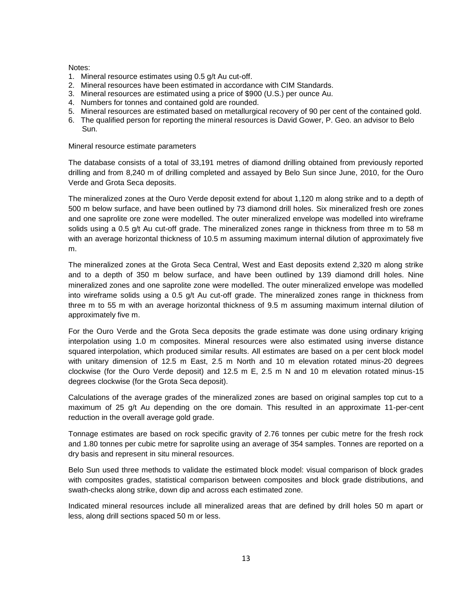### Notes:

- 1. Mineral resource estimates using 0.5 g/t Au cut-off.
- 2. Mineral resources have been estimated in accordance with CIM Standards.
- 3. Mineral resources are estimated using a price of \$900 (U.S.) per ounce Au.
- 4. Numbers for tonnes and contained gold are rounded.
- 5. Mineral resources are estimated based on metallurgical recovery of 90 per cent of the contained gold.
- 6. The qualified person for reporting the mineral resources is David Gower, P. Geo. an advisor to Belo Sun.

Mineral resource estimate parameters

The database consists of a total of 33,191 metres of diamond drilling obtained from previously reported drilling and from 8,240 m of drilling completed and assayed by Belo Sun since June, 2010, for the Ouro Verde and Grota Seca deposits.

The mineralized zones at the Ouro Verde deposit extend for about 1,120 m along strike and to a depth of 500 m below surface, and have been outlined by 73 diamond drill holes. Six mineralized fresh ore zones and one saprolite ore zone were modelled. The outer mineralized envelope was modelled into wireframe solids using a 0.5 g/t Au cut-off grade. The mineralized zones range in thickness from three m to 58 m with an average horizontal thickness of 10.5 m assuming maximum internal dilution of approximately five m.

The mineralized zones at the Grota Seca Central, West and East deposits extend 2,320 m along strike and to a depth of 350 m below surface, and have been outlined by 139 diamond drill holes. Nine mineralized zones and one saprolite zone were modelled. The outer mineralized envelope was modelled into wireframe solids using a 0.5 g/t Au cut-off grade. The mineralized zones range in thickness from three m to 55 m with an average horizontal thickness of 9.5 m assuming maximum internal dilution of approximately five m.

For the Ouro Verde and the Grota Seca deposits the grade estimate was done using ordinary kriging interpolation using 1.0 m composites. Mineral resources were also estimated using inverse distance squared interpolation, which produced similar results. All estimates are based on a per cent block model with unitary dimension of 12.5 m East, 2.5 m North and 10 m elevation rotated minus-20 degrees clockwise (for the Ouro Verde deposit) and 12.5 m E, 2.5 m N and 10 m elevation rotated minus-15 degrees clockwise (for the Grota Seca deposit).

Calculations of the average grades of the mineralized zones are based on original samples top cut to a maximum of 25 g/t Au depending on the ore domain. This resulted in an approximate 11-per-cent reduction in the overall average gold grade.

Tonnage estimates are based on rock specific gravity of 2.76 tonnes per cubic metre for the fresh rock and 1.80 tonnes per cubic metre for saprolite using an average of 354 samples. Tonnes are reported on a dry basis and represent in situ mineral resources.

Belo Sun used three methods to validate the estimated block model: visual comparison of block grades with composites grades, statistical comparison between composites and block grade distributions, and swath-checks along strike, down dip and across each estimated zone.

Indicated mineral resources include all mineralized areas that are defined by drill holes 50 m apart or less, along drill sections spaced 50 m or less.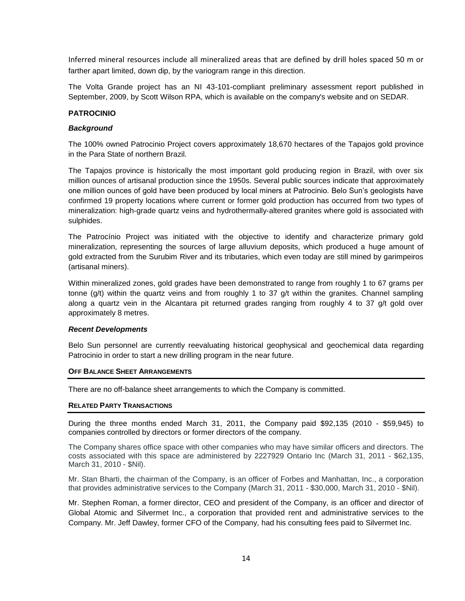Inferred mineral resources include all mineralized areas that are defined by drill holes spaced 50 m or farther apart limited, down dip, by the variogram range in this direction.

The Volta Grande project has an NI 43-101-compliant preliminary assessment report published in September, 2009, by Scott Wilson RPA, which is available on the company's website and on SEDAR.

### **PATROCINIO**

### *Background*

The 100% owned Patrocinio Project covers approximately 18,670 hectares of the Tapajos gold province in the Para State of northern Brazil.

The Tapajos province is historically the most important gold producing region in Brazil, with over six million ounces of artisanal production since the 1950s. Several public sources indicate that approximately one million ounces of gold have been produced by local miners at Patrocinio. Belo Sun's geologists have confirmed 19 property locations where current or former gold production has occurred from two types of mineralization: high-grade quartz veins and hydrothermally-altered granites where gold is associated with sulphides.

The Patrocínio Project was initiated with the objective to identify and characterize primary gold mineralization, representing the sources of large alluvium deposits, which produced a huge amount of gold extracted from the Surubim River and its tributaries, which even today are still mined by garimpeiros (artisanal miners).

Within mineralized zones, gold grades have been demonstrated to range from roughly 1 to 67 grams per tonne  $(g/t)$  within the quartz veins and from roughly 1 to 37  $g/t$  within the granites. Channel sampling along a quartz vein in the Alcantara pit returned grades ranging from roughly 4 to 37 g/t gold over approximately 8 metres.

### *Recent Developments*

Belo Sun personnel are currently reevaluating historical geophysical and geochemical data regarding Patrocinio in order to start a new drilling program in the near future.

### **OFF BALANCE SHEET ARRANGEMENTS**

There are no off-balance sheet arrangements to which the Company is committed.

#### **RELATED PARTY TRANSACTIONS**

During the three months ended March 31, 2011, the Company paid \$92,135 (2010 - \$59,945) to companies controlled by directors or former directors of the company.

The Company shares office space with other companies who may have similar officers and directors. The costs associated with this space are administered by 2227929 Ontario Inc (March 31, 2011 - \$62,135, March 31, 2010 - \$Nil).

Mr. Stan Bharti, the chairman of the Company, is an officer of Forbes and Manhattan, Inc., a corporation that provides administrative services to the Company (March 31, 2011 - \$30,000, March 31, 2010 - \$Nil).

Mr. Stephen Roman, a former director, CEO and president of the Company, is an officer and director of Global Atomic and Silvermet Inc., a corporation that provided rent and administrative services to the Company. Mr. Jeff Dawley, former CFO of the Company, had his consulting fees paid to Silvermet Inc.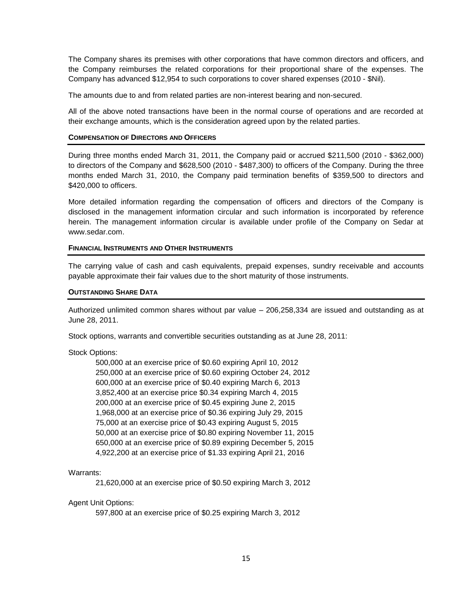The Company shares its premises with other corporations that have common directors and officers, and the Company reimburses the related corporations for their proportional share of the expenses. The Company has advanced \$12,954 to such corporations to cover shared expenses (2010 - \$Nil).

The amounts due to and from related parties are non-interest bearing and non-secured.

All of the above noted transactions have been in the normal course of operations and are recorded at their exchange amounts, which is the consideration agreed upon by the related parties.

### **COMPENSATION OF DIRECTORS AND OFFICERS**

During three months ended March 31, 2011, the Company paid or accrued \$211,500 (2010 - \$362,000) to directors of the Company and \$628,500 (2010 - \$487,300) to officers of the Company. During the three months ended March 31, 2010, the Company paid termination benefits of \$359,500 to directors and \$420,000 to officers.

More detailed information regarding the compensation of officers and directors of the Company is disclosed in the management information circular and such information is incorporated by reference herein. The management information circular is available under profile of the Company on Sedar at www.sedar.com.

### **FINANCIAL INSTRUMENTS AND OTHER INSTRUMENTS**

The carrying value of cash and cash equivalents, prepaid expenses, sundry receivable and accounts payable approximate their fair values due to the short maturity of those instruments.

### **OUTSTANDING SHARE DATA**

Authorized unlimited common shares without par value – 206,258,334 are issued and outstanding as at June 28, 2011.

Stock options, warrants and convertible securities outstanding as at June 28, 2011:

### Stock Options:

500,000 at an exercise price of \$0.60 expiring April 10, 2012 250,000 at an exercise price of \$0.60 expiring October 24, 2012 600,000 at an exercise price of \$0.40 expiring March 6, 2013 3,852,400 at an exercise price \$0.34 expiring March 4, 2015 200,000 at an exercise price of \$0.45 expiring June 2, 2015 1,968,000 at an exercise price of \$0.36 expiring July 29, 2015 75,000 at an exercise price of \$0.43 expiring August 5, 2015 50,000 at an exercise price of \$0.80 expiring November 11, 2015 650,000 at an exercise price of \$0.89 expiring December 5, 2015 4,922,200 at an exercise price of \$1.33 expiring April 21, 2016

### Warrants:

21,620,000 at an exercise price of \$0.50 expiring March 3, 2012

### Agent Unit Options:

597,800 at an exercise price of \$0.25 expiring March 3, 2012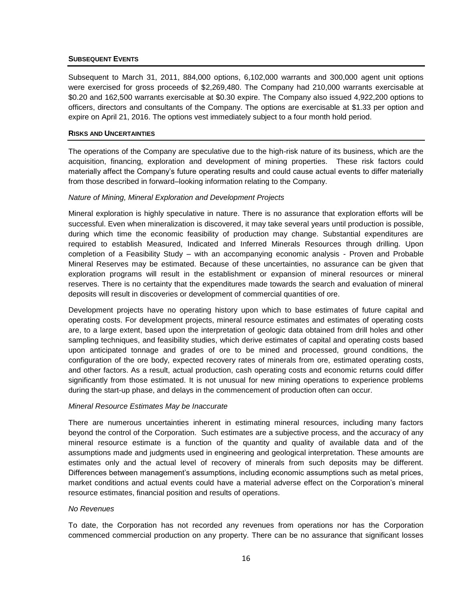### **SUBSEQUENT EVENTS**

Subsequent to March 31, 2011, 884,000 options, 6,102,000 warrants and 300,000 agent unit options were exercised for gross proceeds of \$2,269,480. The Company had 210,000 warrants exercisable at \$0.20 and 162,500 warrants exercisable at \$0.30 expire. The Company also issued 4,922,200 options to officers, directors and consultants of the Company. The options are exercisable at \$1.33 per option and expire on April 21, 2016. The options vest immediately subject to a four month hold period.

### **RISKS AND UNCERTAINTIES**

The operations of the Company are speculative due to the high-risk nature of its business, which are the acquisition, financing, exploration and development of mining properties. These risk factors could materially affect the Company's future operating results and could cause actual events to differ materially from those described in forward–looking information relating to the Company.

### *Nature of Mining, Mineral Exploration and Development Projects*

Mineral exploration is highly speculative in nature. There is no assurance that exploration efforts will be successful. Even when mineralization is discovered, it may take several years until production is possible, during which time the economic feasibility of production may change. Substantial expenditures are required to establish Measured, Indicated and Inferred Minerals Resources through drilling. Upon completion of a Feasibility Study – with an accompanying economic analysis - Proven and Probable Mineral Reserves may be estimated. Because of these uncertainties, no assurance can be given that exploration programs will result in the establishment or expansion of mineral resources or mineral reserves. There is no certainty that the expenditures made towards the search and evaluation of mineral deposits will result in discoveries or development of commercial quantities of ore.

Development projects have no operating history upon which to base estimates of future capital and operating costs. For development projects, mineral resource estimates and estimates of operating costs are, to a large extent, based upon the interpretation of geologic data obtained from drill holes and other sampling techniques, and feasibility studies, which derive estimates of capital and operating costs based upon anticipated tonnage and grades of ore to be mined and processed, ground conditions, the configuration of the ore body, expected recovery rates of minerals from ore, estimated operating costs, and other factors. As a result, actual production, cash operating costs and economic returns could differ significantly from those estimated. It is not unusual for new mining operations to experience problems during the start-up phase, and delays in the commencement of production often can occur.

### *Mineral Resource Estimates May be Inaccurate*

There are numerous uncertainties inherent in estimating mineral resources, including many factors beyond the control of the Corporation. Such estimates are a subjective process, and the accuracy of any mineral resource estimate is a function of the quantity and quality of available data and of the assumptions made and judgments used in engineering and geological interpretation. These amounts are estimates only and the actual level of recovery of minerals from such deposits may be different. Differences between management's assumptions, including economic assumptions such as metal prices, market conditions and actual events could have a material adverse effect on the Corporation's mineral resource estimates, financial position and results of operations.

### *No Revenues*

To date, the Corporation has not recorded any revenues from operations nor has the Corporation commenced commercial production on any property. There can be no assurance that significant losses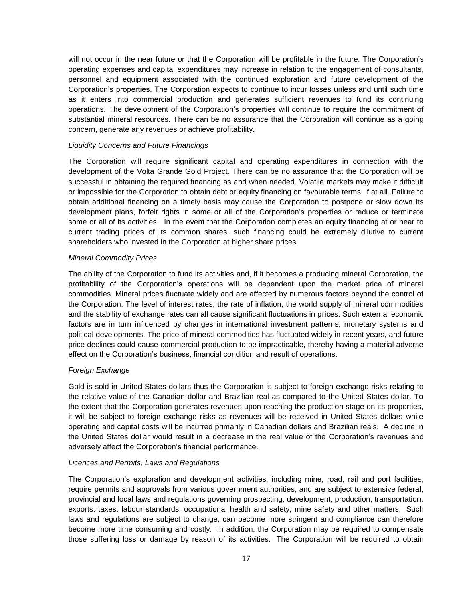will not occur in the near future or that the Corporation will be profitable in the future. The Corporation's operating expenses and capital expenditures may increase in relation to the engagement of consultants, personnel and equipment associated with the continued exploration and future development of the Corporation's properties. The Corporation expects to continue to incur losses unless and until such time as it enters into commercial production and generates sufficient revenues to fund its continuing operations. The development of the Corporation's properties will continue to require the commitment of substantial mineral resources. There can be no assurance that the Corporation will continue as a going concern, generate any revenues or achieve profitability.

### *Liquidity Concerns and Future Financings*

The Corporation will require significant capital and operating expenditures in connection with the development of the Volta Grande Gold Project. There can be no assurance that the Corporation will be successful in obtaining the required financing as and when needed. Volatile markets may make it difficult or impossible for the Corporation to obtain debt or equity financing on favourable terms, if at all. Failure to obtain additional financing on a timely basis may cause the Corporation to postpone or slow down its development plans, forfeit rights in some or all of the Corporation's properties or reduce or terminate some or all of its activities. In the event that the Corporation completes an equity financing at or near to current trading prices of its common shares, such financing could be extremely dilutive to current shareholders who invested in the Corporation at higher share prices.

## *Mineral Commodity Prices*

The ability of the Corporation to fund its activities and, if it becomes a producing mineral Corporation, the profitability of the Corporation's operations will be dependent upon the market price of mineral commodities. Mineral prices fluctuate widely and are affected by numerous factors beyond the control of the Corporation. The level of interest rates, the rate of inflation, the world supply of mineral commodities and the stability of exchange rates can all cause significant fluctuations in prices. Such external economic factors are in turn influenced by changes in international investment patterns, monetary systems and political developments. The price of mineral commodities has fluctuated widely in recent years, and future price declines could cause commercial production to be impracticable, thereby having a material adverse effect on the Corporation's business, financial condition and result of operations.

# *Foreign Exchange*

Gold is sold in United States dollars thus the Corporation is subject to foreign exchange risks relating to the relative value of the Canadian dollar and Brazilian real as compared to the United States dollar. To the extent that the Corporation generates revenues upon reaching the production stage on its properties, it will be subject to foreign exchange risks as revenues will be received in United States dollars while operating and capital costs will be incurred primarily in Canadian dollars and Brazilian reais. A decline in the United States dollar would result in a decrease in the real value of the Corporation's revenues and adversely affect the Corporation's financial performance.

### *Licences and Permits, Laws and Regulations*

The Corporation's exploration and development activities, including mine, road, rail and port facilities, require permits and approvals from various government authorities, and are subject to extensive federal, provincial and local laws and regulations governing prospecting, development, production, transportation, exports, taxes, labour standards, occupational health and safety, mine safety and other matters. Such laws and regulations are subject to change, can become more stringent and compliance can therefore become more time consuming and costly. In addition, the Corporation may be required to compensate those suffering loss or damage by reason of its activities. The Corporation will be required to obtain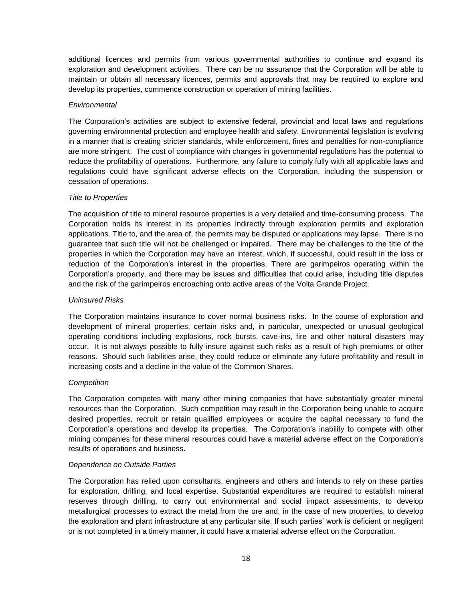additional licences and permits from various governmental authorities to continue and expand its exploration and development activities. There can be no assurance that the Corporation will be able to maintain or obtain all necessary licences, permits and approvals that may be required to explore and develop its properties, commence construction or operation of mining facilities.

### *Environmental*

The Corporation's activities are subject to extensive federal, provincial and local laws and regulations governing environmental protection and employee health and safety. Environmental legislation is evolving in a manner that is creating stricter standards, while enforcement, fines and penalties for non-compliance are more stringent. The cost of compliance with changes in governmental regulations has the potential to reduce the profitability of operations. Furthermore, any failure to comply fully with all applicable laws and regulations could have significant adverse effects on the Corporation, including the suspension or cessation of operations.

## *Title to Properties*

The acquisition of title to mineral resource properties is a very detailed and time-consuming process. The Corporation holds its interest in its properties indirectly through exploration permits and exploration applications. Title to, and the area of, the permits may be disputed or applications may lapse. There is no guarantee that such title will not be challenged or impaired. There may be challenges to the title of the properties in which the Corporation may have an interest, which, if successful, could result in the loss or reduction of the Corporation's interest in the properties. There are garimpeiros operating within the Corporation's property, and there may be issues and difficulties that could arise, including title disputes and the risk of the garimpeiros encroaching onto active areas of the Volta Grande Project.

## *Uninsured Risks*

The Corporation maintains insurance to cover normal business risks. In the course of exploration and development of mineral properties, certain risks and, in particular, unexpected or unusual geological operating conditions including explosions, rock bursts, cave-ins, fire and other natural disasters may occur. It is not always possible to fully insure against such risks as a result of high premiums or other reasons. Should such liabilities arise, they could reduce or eliminate any future profitability and result in increasing costs and a decline in the value of the Common Shares.

### *Competition*

The Corporation competes with many other mining companies that have substantially greater mineral resources than the Corporation. Such competition may result in the Corporation being unable to acquire desired properties, recruit or retain qualified employees or acquire the capital necessary to fund the Corporation's operations and develop its properties. The Corporation's inability to compete with other mining companies for these mineral resources could have a material adverse effect on the Corporation's results of operations and business.

### *Dependence on Outside Parties*

The Corporation has relied upon consultants, engineers and others and intends to rely on these parties for exploration, drilling, and local expertise. Substantial expenditures are required to establish mineral reserves through drilling, to carry out environmental and social impact assessments, to develop metallurgical processes to extract the metal from the ore and, in the case of new properties, to develop the exploration and plant infrastructure at any particular site. If such parties' work is deficient or negligent or is not completed in a timely manner, it could have a material adverse effect on the Corporation.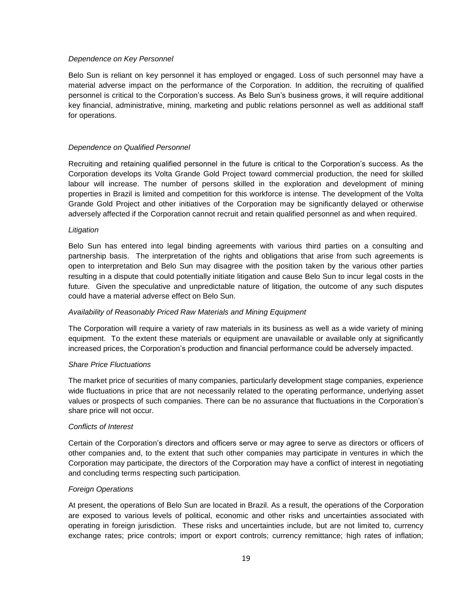### *Dependence on Key Personnel*

Belo Sun is reliant on key personnel it has employed or engaged. Loss of such personnel may have a material adverse impact on the performance of the Corporation. In addition, the recruiting of qualified personnel is critical to the Corporation's success. As Belo Sun's business grows, it will require additional key financial, administrative, mining, marketing and public relations personnel as well as additional staff for operations.

## *Dependence on Qualified Personnel*

Recruiting and retaining qualified personnel in the future is critical to the Corporation's success. As the Corporation develops its Volta Grande Gold Project toward commercial production, the need for skilled labour will increase. The number of persons skilled in the exploration and development of mining properties in Brazil is limited and competition for this workforce is intense. The development of the Volta Grande Gold Project and other initiatives of the Corporation may be significantly delayed or otherwise adversely affected if the Corporation cannot recruit and retain qualified personnel as and when required.

## *Litigation*

Belo Sun has entered into legal binding agreements with various third parties on a consulting and partnership basis. The interpretation of the rights and obligations that arise from such agreements is open to interpretation and Belo Sun may disagree with the position taken by the various other parties resulting in a dispute that could potentially initiate litigation and cause Belo Sun to incur legal costs in the future. Given the speculative and unpredictable nature of litigation, the outcome of any such disputes could have a material adverse effect on Belo Sun.

# *Availability of Reasonably Priced Raw Materials and Mining Equipment*

The Corporation will require a variety of raw materials in its business as well as a wide variety of mining equipment. To the extent these materials or equipment are unavailable or available only at significantly increased prices, the Corporation's production and financial performance could be adversely impacted.

### *Share Price Fluctuations*

The market price of securities of many companies, particularly development stage companies, experience wide fluctuations in price that are not necessarily related to the operating performance, underlying asset values or prospects of such companies. There can be no assurance that fluctuations in the Corporation's share price will not occur.

### *Conflicts of Interest*

Certain of the Corporation's directors and officers serve or may agree to serve as directors or officers of other companies and, to the extent that such other companies may participate in ventures in which the Corporation may participate, the directors of the Corporation may have a conflict of interest in negotiating and concluding terms respecting such participation.

# *Foreign Operations*

At present, the operations of Belo Sun are located in Brazil. As a result, the operations of the Corporation are exposed to various levels of political, economic and other risks and uncertainties associated with operating in foreign jurisdiction. These risks and uncertainties include, but are not limited to, currency exchange rates; price controls; import or export controls; currency remittance; high rates of inflation;